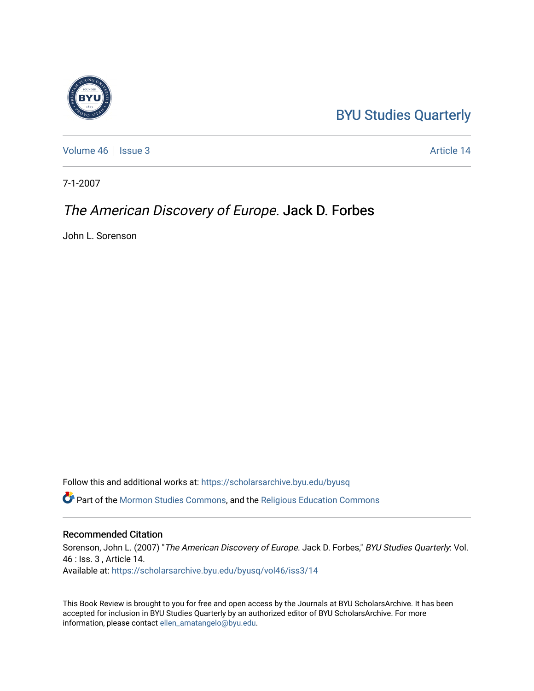## [BYU Studies Quarterly](https://scholarsarchive.byu.edu/byusq)

[Volume 46](https://scholarsarchive.byu.edu/byusq/vol46) | [Issue 3](https://scholarsarchive.byu.edu/byusq/vol46/iss3) Article 14

7-1-2007

## The American Discovery of Europe. Jack D. Forbes

John L. Sorenson

Follow this and additional works at: [https://scholarsarchive.byu.edu/byusq](https://scholarsarchive.byu.edu/byusq?utm_source=scholarsarchive.byu.edu%2Fbyusq%2Fvol46%2Fiss3%2F14&utm_medium=PDF&utm_campaign=PDFCoverPages) 

Part of the [Mormon Studies Commons](http://network.bepress.com/hgg/discipline/1360?utm_source=scholarsarchive.byu.edu%2Fbyusq%2Fvol46%2Fiss3%2F14&utm_medium=PDF&utm_campaign=PDFCoverPages), and the [Religious Education Commons](http://network.bepress.com/hgg/discipline/1414?utm_source=scholarsarchive.byu.edu%2Fbyusq%2Fvol46%2Fiss3%2F14&utm_medium=PDF&utm_campaign=PDFCoverPages) 

## Recommended Citation

Sorenson, John L. (2007) "The American Discovery of Europe. Jack D. Forbes," BYU Studies Quarterly: Vol. 46 : Iss. 3 , Article 14. Available at: [https://scholarsarchive.byu.edu/byusq/vol46/iss3/14](https://scholarsarchive.byu.edu/byusq/vol46/iss3/14?utm_source=scholarsarchive.byu.edu%2Fbyusq%2Fvol46%2Fiss3%2F14&utm_medium=PDF&utm_campaign=PDFCoverPages) 

This Book Review is brought to you for free and open access by the Journals at BYU ScholarsArchive. It has been accepted for inclusion in BYU Studies Quarterly by an authorized editor of BYU ScholarsArchive. For more information, please contact [ellen\\_amatangelo@byu.edu.](mailto:ellen_amatangelo@byu.edu)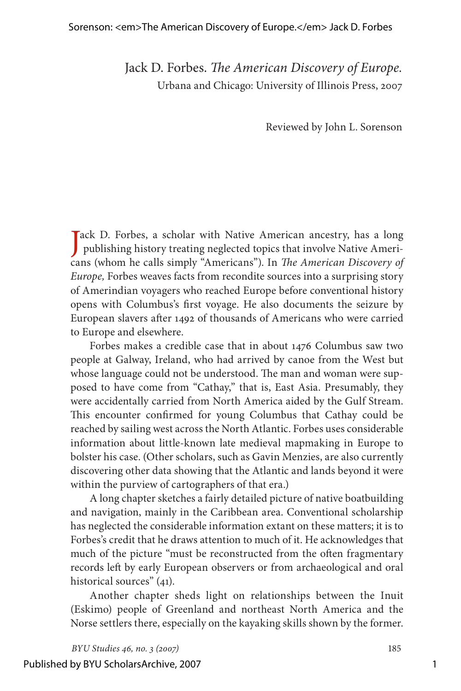## Sorenson: <em>The American Discovery of Europe.</em> Jack D. Forbes

Jack D. Forbes. *The American Discovery of Europe.* Urbana and Chicago: University of Illinois Press, 2007

Reviewed by John L. Sorenson

Jack D. Forbes, a scholar with Native American ancestry, has a long<br>publishing history treating neglected topics that involve Native Ameripublishing history treating neglected topics that involve Native Americans (whom he calls simply "Americans"). In *The American Discovery of Europe,* Forbes weaves facts from recondite sources into a surprising story of Amerindian voyagers who reached Europe before conventional history opens with Columbus's first voyage. He also documents the seizure by European slavers after 1492 of thousands of Americans who were carried to Europe and elsewhere.

Forbes makes a credible case that in about 1476 Columbus saw two people at Galway, Ireland, who had arrived by canoe from the West but whose language could not be understood. The man and woman were supposed to have come from "Cathay," that is, East Asia. Presumably, they were accidentally carried from North America aided by the Gulf Stream. This encounter confirmed for young Columbus that Cathay could be reached by sailing west across the North Atlantic. Forbes uses considerable information about little-known late medieval mapmaking in Europe to bolster his case. (Other scholars, such as Gavin Menzies, are also currently discovering other data showing that the Atlantic and lands beyond it were within the purview of cartographers of that era.)

A long chapter sketches a fairly detailed picture of native boatbuilding and navigation, mainly in the Caribbean area. Conventional scholarship has neglected the considerable information extant on these matters; it is to Forbes's credit that he draws attention to much of it. He acknowledges that much of the picture "must be reconstructed from the often fragmentary records left by early European observers or from archaeological and oral historical sources" (41).

Another chapter sheds light on relationships between the Inuit (Eskimo) people of Greenland and northeast North America and the Norse settlers there, especially on the kayaking skills shown by the former.

*BYU Studies 46, no. 3 (2007)* 185 Published by BYU ScholarsArchive, 2007